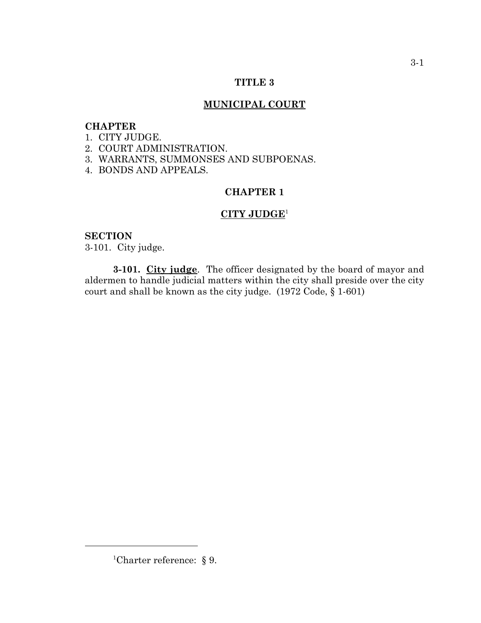# **TITLE 3**

# **MUNICIPAL COURT**

# **CHAPTER**

- 1. CITY JUDGE.
- 2. COURT ADMINISTRATION.
- 3. WARRANTS, SUMMONSES AND SUBPOENAS.
- 4. BONDS AND APPEALS.

# **CHAPTER 1**

# **CITY JUDGE**<sup>1</sup>

### **SECTION**

3-101. City judge.

**3-101. City judge**. The officer designated by the board of mayor and aldermen to handle judicial matters within the city shall preside over the city court and shall be known as the city judge. (1972 Code, § 1-601)

<sup>&</sup>lt;sup>1</sup>Charter reference:  $\S$  9.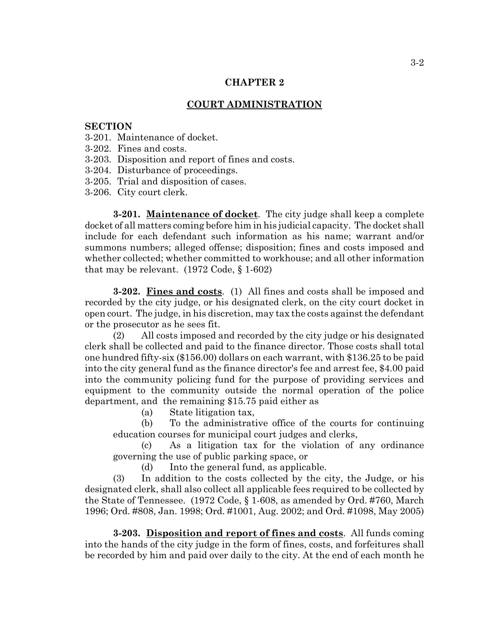### **CHAPTER 2**

#### **COURT ADMINISTRATION**

#### **SECTION**

- 3-201. Maintenance of docket.
- 3-202. Fines and costs.
- 3-203. Disposition and report of fines and costs.
- 3-204. Disturbance of proceedings.
- 3-205. Trial and disposition of cases.
- 3-206. City court clerk.

**3-201. Maintenance of docket**. The city judge shall keep a complete docket of all matters coming before him in his judicial capacity. The docket shall include for each defendant such information as his name; warrant and/or summons numbers; alleged offense; disposition; fines and costs imposed and whether collected; whether committed to workhouse; and all other information that may be relevant. (1972 Code, § 1-602)

**3-202. Fines and costs**. (1) All fines and costs shall be imposed and recorded by the city judge, or his designated clerk, on the city court docket in open court. The judge, in his discretion, may tax the costs against the defendant or the prosecutor as he sees fit.

(2) All costs imposed and recorded by the city judge or his designated clerk shall be collected and paid to the finance director. Those costs shall total one hundred fifty-six (\$156.00) dollars on each warrant, with \$136.25 to be paid into the city general fund as the finance director's fee and arrest fee, \$4.00 paid into the community policing fund for the purpose of providing services and equipment to the community outside the normal operation of the police department, and the remaining \$15.75 paid either as

(a) State litigation tax,

(b) To the administrative office of the courts for continuing education courses for municipal court judges and clerks,

(c) As a litigation tax for the violation of any ordinance governing the use of public parking space, or

(d) Into the general fund, as applicable.

(3) In addition to the costs collected by the city, the Judge, or his designated clerk, shall also collect all applicable fees required to be collected by the State of Tennessee. (1972 Code, § 1-608, as amended by Ord. #760, March 1996; Ord. #808, Jan. 1998; Ord. #1001, Aug. 2002; and Ord. #1098, May 2005)

**3-203. Disposition and report of fines and costs**. All funds coming into the hands of the city judge in the form of fines, costs, and forfeitures shall be recorded by him and paid over daily to the city. At the end of each month he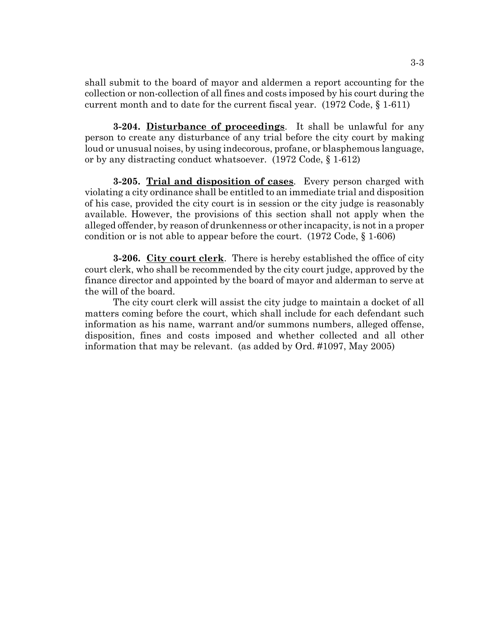shall submit to the board of mayor and aldermen a report accounting for the collection or non-collection of all fines and costs imposed by his court during the current month and to date for the current fiscal year. (1972 Code, § 1-611)

**3-204. Disturbance of proceedings**. It shall be unlawful for any person to create any disturbance of any trial before the city court by making loud or unusual noises, by using indecorous, profane, or blasphemous language, or by any distracting conduct whatsoever. (1972 Code, § 1-612)

**3-205. Trial and disposition of cases**. Every person charged with violating a city ordinance shall be entitled to an immediate trial and disposition of his case, provided the city court is in session or the city judge is reasonably available. However, the provisions of this section shall not apply when the alleged offender, by reason of drunkenness or other incapacity, is not in a proper condition or is not able to appear before the court.  $(1972 \text{ Code}, \S 1-606)$ 

**3-206. City court clerk**. There is hereby established the office of city court clerk, who shall be recommended by the city court judge, approved by the finance director and appointed by the board of mayor and alderman to serve at the will of the board.

The city court clerk will assist the city judge to maintain a docket of all matters coming before the court, which shall include for each defendant such information as his name, warrant and/or summons numbers, alleged offense, disposition, fines and costs imposed and whether collected and all other information that may be relevant. (as added by Ord. #1097, May 2005)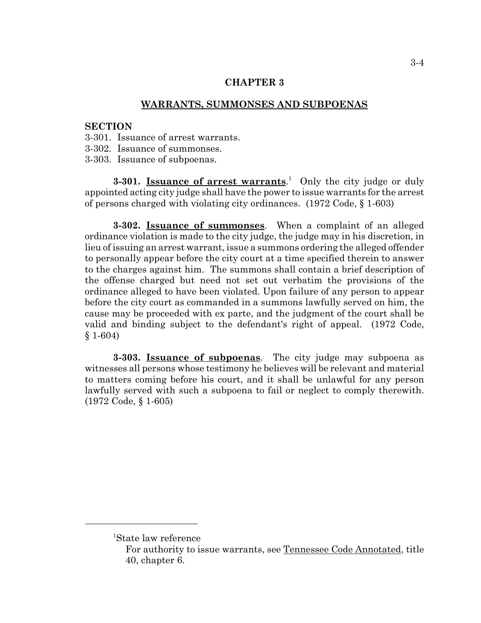### **CHAPTER 3**

### **WARRANTS, SUMMONSES AND SUBPOENAS**

# **SECTION**

- 3-301. Issuance of arrest warrants.
- 3-302. Issuance of summonses.
- 3-303. Issuance of subpoenas.

**3-301.** Issuance of arrest warrants.<sup>1</sup> Only the city judge or duly appointed acting city judge shall have the power to issue warrants for the arrest of persons charged with violating city ordinances. (1972 Code, § 1-603)

**3-302. Issuance of summonses**. When a complaint of an alleged ordinance violation is made to the city judge, the judge may in his discretion, in lieu of issuing an arrest warrant, issue a summons ordering the alleged offender to personally appear before the city court at a time specified therein to answer to the charges against him. The summons shall contain a brief description of the offense charged but need not set out verbatim the provisions of the ordinance alleged to have been violated. Upon failure of any person to appear before the city court as commanded in a summons lawfully served on him, the cause may be proceeded with ex parte, and the judgment of the court shall be valid and binding subject to the defendant's right of appeal. (1972 Code, § 1-604)

**3-303. Issuance of subpoenas**. The city judge may subpoena as witnesses all persons whose testimony he believes will be relevant and material to matters coming before his court, and it shall be unlawful for any person lawfully served with such a subpoena to fail or neglect to comply therewith. (1972 Code, § 1-605)

<sup>1</sup> State law reference

For authority to issue warrants, see Tennessee Code Annotated, title 40, chapter 6.